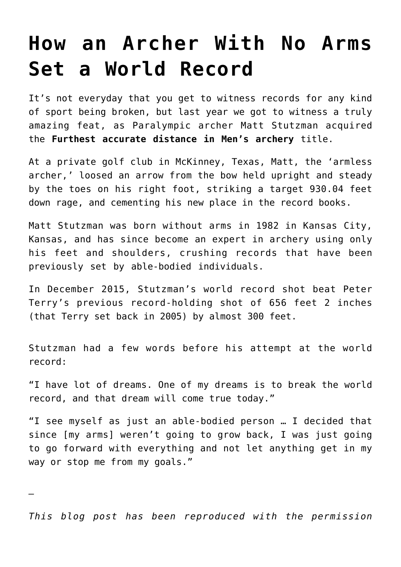## **[How an Archer With No Arms](https://intellectualtakeout.org/2016/05/how-an-archer-with-no-arms-set-a-world-record/) [Set a World Record](https://intellectualtakeout.org/2016/05/how-an-archer-with-no-arms-set-a-world-record/)**

It's not everyday that you get to witness records for any kind of sport being broken, but last year we got to witness a truly amazing feat, as Paralympic archer Matt Stutzman acquired the **Furthest accurate distance in Men's archery** title.

At a private golf club in McKinney, Texas, Matt, the 'armless archer,' loosed an arrow from the bow held upright and steady by the toes on his right foot, striking a target 930.04 feet down rage, and cementing his new place in the record books.

Matt Stutzman was born without arms in 1982 in Kansas City, Kansas, and has since become an expert in archery using only his feet and shoulders, crushing records that have been previously set by able-bodied individuals.

In December 2015, Stutzman's world record shot beat Peter Terry's previous record-holding shot of 656 feet 2 inches (that Terry set back in 2005) by almost 300 feet.

Stutzman had a few words before his attempt at the world record:

"I have lot of dreams. One of my dreams is to break the world record, and that dream will come true today."

"I see myself as just an able-bodied person … I decided that since [my arms] weren't going to grow back, I was just going to go forward with everything and not let anything get in my way or stop me from my goals."

*This blog post has been reproduced with the permission*

*—*